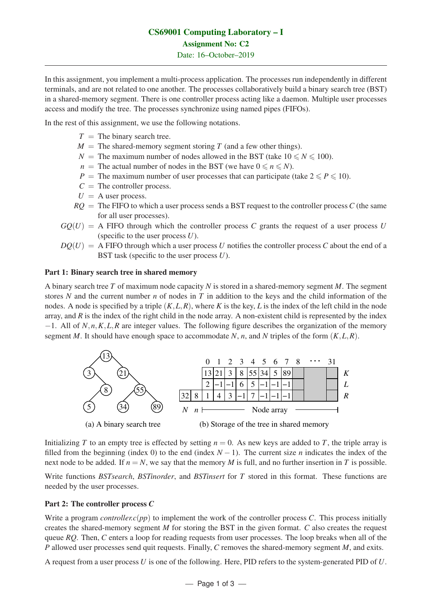# CS69001 Computing Laboratory – I Assignment No: C2 Date: 16–October–2019

In this assignment, you implement a multi-process application. The processes run independently in different terminals, and are not related to one another. The processes collaboratively build a binary search tree (BST) in a shared-memory segment. There is one controller process acting like a daemon. Multiple user processes access and modify the tree. The processes synchronize using named pipes (FIFOs).

In the rest of this assignment, we use the following notations.

- $T =$  The binary search tree.
- $M =$  The shared-memory segment storing *T* (and a few other things).
- *N* = The maximum number of nodes allowed in the BST (take  $10 \le N \le 100$ ).
- *n* = The actual number of nodes in the BST (we have  $0 \le n \le N$ ).
- *P* = The maximum number of user processes that can participate (take  $2 \le P \le 10$ ).
- $C =$  The controller process.
- $U = A$  user process.
- $RO =$ The FIFO to which a user process sends a BST request to the controller process C (the same for all user processes).
- $GQ(U) = A$  FIFO through which the controller process *C* grants the request of a user process *U* (specific to the user process *U*).
- $DQ(U) = A$  FIFO through which a user process *U* notifies the controller process *C* about the end of a BST task (specific to the user process *U*).

### Part 1: Binary search tree in shared memory

A binary search tree *T* of maximum node capacity *N* is stored in a shared-memory segment *M*. The segment stores *N* and the current number *n* of nodes in *T* in addition to the keys and the child information of the nodes. A node is specified by a triple  $(K, L, R)$ , where K is the key, L is the index of the left child in the node array, and *R* is the index of the right child in the node array. A non-existent child is represented by the index <sup>−</sup>1. All of *<sup>N</sup>*,*n*,*K*,*L*,*<sup>R</sup>* are integer values. The following figure describes the organization of the memory segment *M*. It should have enough space to accommodate *N*, *n*, and *N* triples of the form  $(K, L, R)$ .



Initializing *T* to an empty tree is effected by setting  $n = 0$ . As new keys are added to *T*, the triple array is filled from the beginning (index 0) to the end (index  $N - 1$ ). The current size *n* indicates the index of the next node to be added. If  $n = N$ , we say that the memory *M* is full, and no further insertion in *T* is possible.

Write functions *BSTsearch*, *BSTinorder*, and *BSTinsert* for *T* stored in this format. These functions are needed by the user processes.

### Part 2: The controller process *C*

Write a program *controller.c(pp*) to implement the work of the controller process *C*. This process initially creates the shared-memory segment *M* for storing the BST in the given format. *C* also creates the request queue *RQ*. Then, *C* enters a loop for reading requests from user processes. The loop breaks when all of the *P* allowed user processes send quit requests. Finally, *C* removes the shared-memory segment *M*, and exits.

A request from a user process *U* is one of the following. Here, PID refers to the system-generated PID of *U*.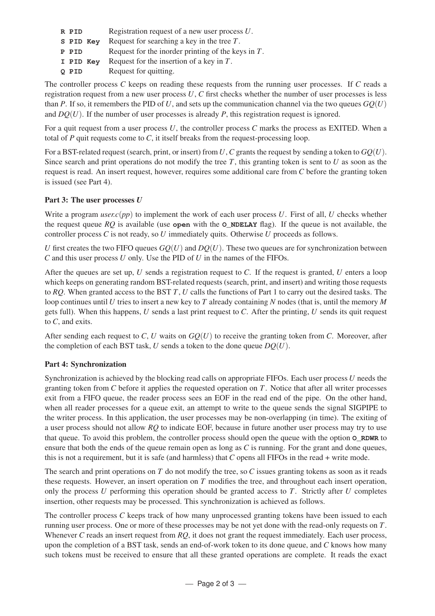| R PID     | Registration request of a new user process $U$ .      |
|-----------|-------------------------------------------------------|
| S PID Key | Request for searching a key in the tree $T$ .         |
| P PID     | Request for the inorder printing of the keys in $T$ . |
| I PID Kev | Request for the insertion of a key in $T$ .           |
| Q PID     | Request for quitting.                                 |

The controller process *C* keeps on reading these requests from the running user processes. If *C* reads a registration request from a new user process *U*, *C* first checks whether the number of user processes is less than *P*. If so, it remembers the PID of U, and sets up the communication channel via the two queues  $GQ(U)$ and  $DQ(U)$ . If the number of user processes is already *P*, this registration request is ignored.

For a quit request from a user process *U*, the controller process *C* marks the process as EXITED. When a total of *P* quit requests come to *C*, it itself breaks from the request-processing loop.

For a BST-related request (search, print, or insert) from*U*,*C* grants the request by sending a token to *GQ*(*U*). Since search and print operations do not modify the tree *T*, this granting token is sent to *U* as soon as the request is read. An insert request, however, requires some additional care from *C* before the granting token is issued (see Part 4).

## Part 3: The user processes *U*

Write a program *user.c(pp*) to implement the work of each user process *U*. First of all, *U* checks whether the request queue  $RQ$  is available (use **open** with the **O\_NDELAY** flag). If the queue is not available, the controller process *C* is not ready, so *U* immediately quits. Otherwise *U* proceeds as follows.

*U* first creates the two FIFO queues  $GO(U)$  and  $DO(U)$ . These two queues are for synchronization between *C* and this user process *U* only. Use the PID of *U* in the names of the FIFOs.

After the queues are set up, *U* sends a registration request to *C*. If the request is granted, *U* enters a loop which keeps on generating random BST-related requests (search, print, and insert) and writing those requests to *RQ*. When granted access to the BST *T*, *U* calls the functions of Part 1 to carry out the desired tasks. The loop continues until *U* tries to insert a new key to *T* already containing *N* nodes (that is, until the memory *M* gets full). When this happens, *U* sends a last print request to *C*. After the printing, *U* sends its quit request to *C*, and exits.

After sending each request to *C*, *U* waits on *GQ*(*U*) to receive the granting token from *C*. Moreover, after the completion of each BST task,  $U$  sends a token to the done queue  $DQ(U)$ .

### Part 4: Synchronization

Synchronization is achieved by the blocking read calls on appropriate FIFOs. Each user process *U* needs the granting token from *C* before it applies the requested operation on *T*. Notice that after all writer processes exit from a FIFO queue, the reader process sees an EOF in the read end of the pipe. On the other hand, when all reader processes for a queue exit, an attempt to write to the queue sends the signal SIGPIPE to the writer process. In this application, the user processes may be non-overlapping (in time). The exiting of a user process should not allow *RQ* to indicate EOF, because in future another user process may try to use that queue. To avoid this problem, the controller process should open the queue with the option **O\_RDWR** to ensure that both the ends of the queue remain open as long as *C* is running. For the grant and done queues, this is not a requirement, but it is safe (and harmless) that *C* opens all FIFOs in the read + write mode.

The search and print operations on *T* do not modify the tree, so *C* issues granting tokens as soon as it reads these requests. However, an insert operation on *T* modifies the tree, and throughout each insert operation, only the process *U* performing this operation should be granted access to *T*. Strictly after *U* completes insertion, other requests may be processed. This synchronization is achieved as follows.

The controller process *C* keeps track of how many unprocessed granting tokens have been issued to each running user process. One or more of these processes may be not yet done with the read-only requests on *T*. Whenever *C* reads an insert request from *RQ*, it does not grant the request immediately. Each user process, upon the completion of a BST task, sends an end-of-work token to its done queue, and *C* knows how many such tokens must be received to ensure that all these granted operations are complete. It reads the exact